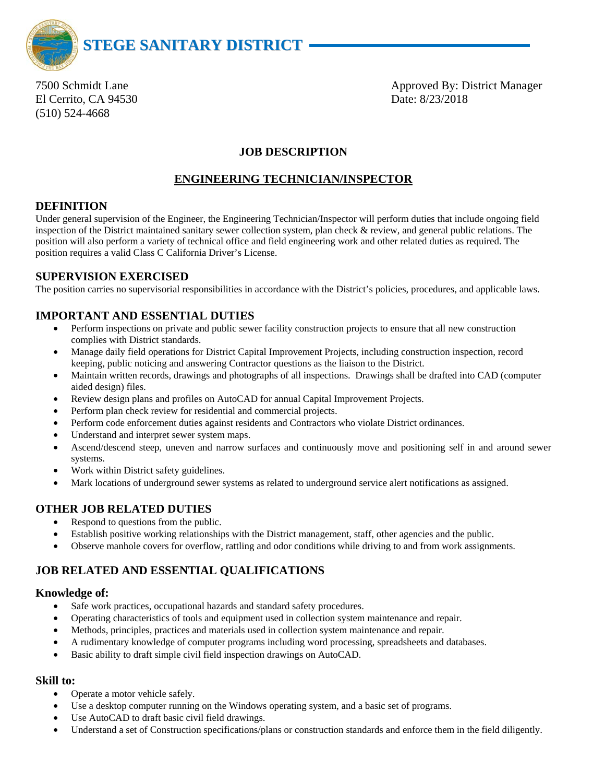

El Cerrito, CA 94530 Date: 8/23/2018 (510) 524-4668

7500 Schmidt Lane **Approved By: District Manager** Approved By: District Manager

## **JOB DESCRIPTION**

## **ENGINEERING TECHNICIAN/INSPECTOR**

## **DEFINITION**

Under general supervision of the Engineer, the Engineering Technician/Inspector will perform duties that include ongoing field inspection of the District maintained sanitary sewer collection system, plan check & review, and general public relations. The position will also perform a variety of technical office and field engineering work and other related duties as required. The position requires a valid Class C California Driver's License.

## **SUPERVISION EXERCISED**

The position carries no supervisorial responsibilities in accordance with the District's policies, procedures, and applicable laws.

## **IMPORTANT AND ESSENTIAL DUTIES**

- Perform inspections on private and public sewer facility construction projects to ensure that all new construction complies with District standards.
- Manage daily field operations for District Capital Improvement Projects, including construction inspection, record keeping, public noticing and answering Contractor questions as the liaison to the District.
- Maintain written records, drawings and photographs of all inspections. Drawings shall be drafted into CAD (computer aided design) files.
- Review design plans and profiles on AutoCAD for annual Capital Improvement Projects.
- Perform plan check review for residential and commercial projects.
- Perform code enforcement duties against residents and Contractors who violate District ordinances.
- Understand and interpret sewer system maps.
- Ascend/descend steep, uneven and narrow surfaces and continuously move and positioning self in and around sewer systems.
- Work within District safety guidelines.
- Mark locations of underground sewer systems as related to underground service alert notifications as assigned.

## **OTHER JOB RELATED DUTIES**

- Respond to questions from the public.
- Establish positive working relationships with the District management, staff, other agencies and the public.
- Observe manhole covers for overflow, rattling and odor conditions while driving to and from work assignments.

# **JOB RELATED AND ESSENTIAL QUALIFICATIONS**

## **Knowledge of:**

- Safe work practices, occupational hazards and standard safety procedures.
- Operating characteristics of tools and equipment used in collection system maintenance and repair.
- Methods, principles, practices and materials used in collection system maintenance and repair.
- A rudimentary knowledge of computer programs including word processing, spreadsheets and databases.
- Basic ability to draft simple civil field inspection drawings on AutoCAD.

# **Skill to:**

- Operate a motor vehicle safely.
- Use a desktop computer running on the Windows operating system, and a basic set of programs.
- Use AutoCAD to draft basic civil field drawings.
- Understand a set of Construction specifications/plans or construction standards and enforce them in the field diligently.